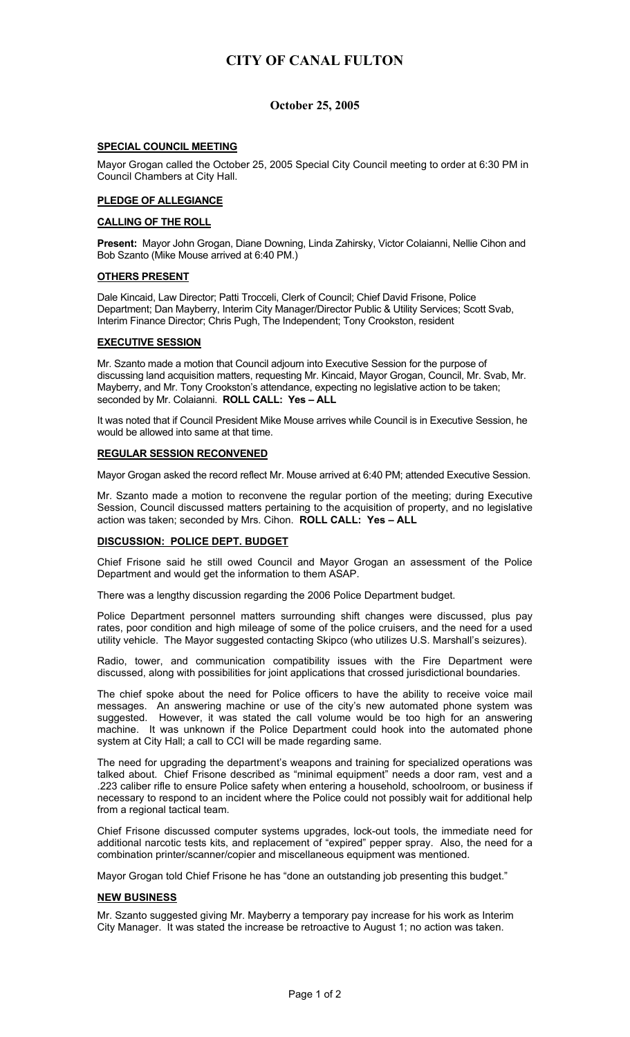# **CITY OF CANAL FULTON**

### **October 25, 2005**

#### **SPECIAL COUNCIL MEETING**

Mayor Grogan called the October 25, 2005 Special City Council meeting to order at 6:30 PM in Council Chambers at City Hall.

#### **PLEDGE OF ALLEGIANCE**

#### **CALLING OF THE ROLL**

**Present:** Mayor John Grogan, Diane Downing, Linda Zahirsky, Victor Colaianni, Nellie Cihon and Bob Szanto (Mike Mouse arrived at 6:40 PM.)

#### **OTHERS PRESENT**

Dale Kincaid, Law Director; Patti Trocceli, Clerk of Council; Chief David Frisone, Police Department; Dan Mayberry, Interim City Manager/Director Public & Utility Services; Scott Svab, Interim Finance Director; Chris Pugh, The Independent; Tony Crookston, resident

#### **EXECUTIVE SESSION**

Mr. Szanto made a motion that Council adjourn into Executive Session for the purpose of discussing land acquisition matters, requesting Mr. Kincaid, Mayor Grogan, Council, Mr. Svab, Mr. Mayberry, and Mr. Tony Crookston's attendance, expecting no legislative action to be taken; seconded by Mr. Colaianni. **ROLL CALL: Yes – ALL** 

It was noted that if Council President Mike Mouse arrives while Council is in Executive Session, he would be allowed into same at that time.

#### **REGULAR SESSION RECONVENED**

Mayor Grogan asked the record reflect Mr. Mouse arrived at 6:40 PM; attended Executive Session.

Mr. Szanto made a motion to reconvene the regular portion of the meeting; during Executive Session, Council discussed matters pertaining to the acquisition of property, and no legislative action was taken; seconded by Mrs. Cihon. **ROLL CALL: Yes – ALL**

### **DISCUSSION: POLICE DEPT. BUDGET**

Chief Frisone said he still owed Council and Mayor Grogan an assessment of the Police Department and would get the information to them ASAP.

There was a lengthy discussion regarding the 2006 Police Department budget.

Police Department personnel matters surrounding shift changes were discussed, plus pay rates, poor condition and high mileage of some of the police cruisers, and the need for a used utility vehicle. The Mayor suggested contacting Skipco (who utilizes U.S. Marshall's seizures).

Radio, tower, and communication compatibility issues with the Fire Department were discussed, along with possibilities for joint applications that crossed jurisdictional boundaries.

The chief spoke about the need for Police officers to have the ability to receive voice mail messages. An answering machine or use of the city's new automated phone system was suggested. However, it was stated the call volume would be too high for an answering machine. It was unknown if the Police Department could hook into the automated phone system at City Hall; a call to CCI will be made regarding same.

The need for upgrading the department's weapons and training for specialized operations was talked about. Chief Frisone described as "minimal equipment" needs a door ram, vest and a .223 caliber rifle to ensure Police safety when entering a household, schoolroom, or business if necessary to respond to an incident where the Police could not possibly wait for additional help from a regional tactical team.

Chief Frisone discussed computer systems upgrades, lock-out tools, the immediate need for additional narcotic tests kits, and replacement of "expired" pepper spray. Also, the need for a combination printer/scanner/copier and miscellaneous equipment was mentioned.

Mayor Grogan told Chief Frisone he has "done an outstanding job presenting this budget."

#### **NEW BUSINESS**

Mr. Szanto suggested giving Mr. Mayberry a temporary pay increase for his work as Interim City Manager. It was stated the increase be retroactive to August 1; no action was taken.